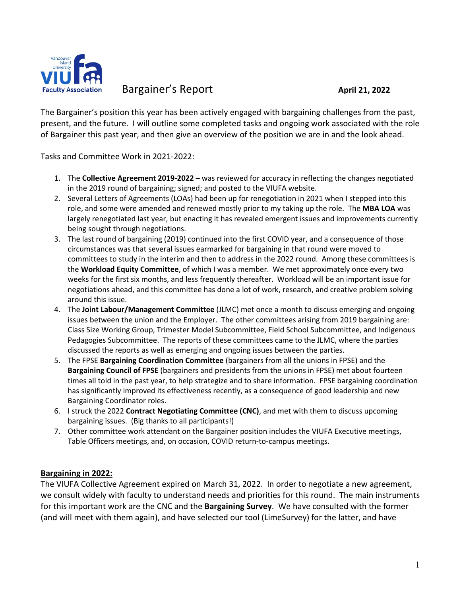

Bargainer's Report **April 21, 2022** 

The Bargainer's position this year has been actively engaged with bargaining challenges from the past, present, and the future. I will outline some completed tasks and ongoing work associated with the role of Bargainer this past year, and then give an overview of the position we are in and the look ahead.

Tasks and Committee Work in 2021-2022:

- 1. The **Collective Agreement 2019-2022** was reviewed for accuracy in reflecting the changes negotiated in the 2019 round of bargaining; signed; and posted to the VIUFA website.
- 2. Several Letters of Agreements (LOAs) had been up for renegotiation in 2021 when I stepped into this role, and some were amended and renewed mostly prior to my taking up the role. The **MBA LOA** was largely renegotiated last year, but enacting it has revealed emergent issues and improvements currently being sought through negotiations.
- 3. The last round of bargaining (2019) continued into the first COVID year, and a consequence of those circumstances was that several issues earmarked for bargaining in that round were moved to committees to study in the interim and then to address in the 2022 round. Among these committees is the **Workload Equity Committee**, of which I was a member. We met approximately once every two weeks for the first six months, and less frequently thereafter. Workload will be an important issue for negotiations ahead, and this committee has done a lot of work, research, and creative problem solving around this issue.
- 4. The **Joint Labour/Management Committee** (JLMC) met once a month to discuss emerging and ongoing issues between the union and the Employer. The other committees arising from 2019 bargaining are: Class Size Working Group, Trimester Model Subcommittee, Field School Subcommittee, and Indigenous Pedagogies Subcommittee. The reports of these committees came to the JLMC, where the parties discussed the reports as well as emerging and ongoing issues between the parties.
- 5. The FPSE **Bargaining Coordination Committee** (bargainers from all the unions in FPSE) and the **Bargaining Council of FPSE** (bargainers and presidents from the unions in FPSE) met about fourteen times all told in the past year, to help strategize and to share information. FPSE bargaining coordination has significantly improved its effectiveness recently, as a consequence of good leadership and new Bargaining Coordinator roles.
- 6. I struck the 2022 **Contract Negotiating Committee (CNC)**, and met with them to discuss upcoming bargaining issues. (Big thanks to all participants!)
- 7. Other committee work attendant on the Bargainer position includes the VIUFA Executive meetings, Table Officers meetings, and, on occasion, COVID return-to-campus meetings.

## **Bargaining in 2022:**

The VIUFA Collective Agreement expired on March 31, 2022. In order to negotiate a new agreement, we consult widely with faculty to understand needs and priorities for this round. The main instruments for this important work are the CNC and the **Bargaining Survey**. We have consulted with the former (and will meet with them again), and have selected our tool (LimeSurvey) for the latter, and have